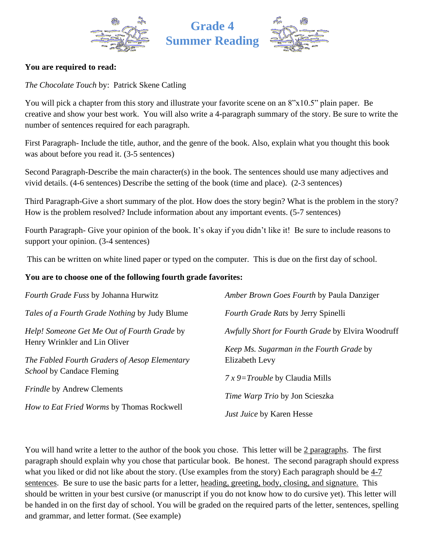





### **You are required to read:**

*The Chocolate Touch* by: Patrick Skene Catling

You will pick a chapter from this story and illustrate your favorite scene on an  $8"x10.5"$  plain paper. Be creative and show your best work. You will also write a 4-paragraph summary of the story. Be sure to write the number of sentences required for each paragraph.

First Paragraph- Include the title, author, and the genre of the book. Also, explain what you thought this book was about before you read it. (3-5 sentences)

Second Paragraph-Describe the main character(s) in the book. The sentences should use many adjectives and vivid details. (4-6 sentences) Describe the setting of the book (time and place). (2-3 sentences)

Third Paragraph-Give a short summary of the plot. How does the story begin? What is the problem in the story? How is the problem resolved? Include information about any important events. (5-7 sentences)

Fourth Paragraph- Give your opinion of the book. It's okay if you didn't like it! Be sure to include reasons to support your opinion. (3-4 sentences)

This can be written on white lined paper or typed on the computer. This is due on the first day of school.

#### **You are to choose one of the following fourth grade favorites:**

| Fourth Grade Fuss by Johanna Hurwitz                 | Amber Brown Goes Fourth by Paula Danziger         |
|------------------------------------------------------|---------------------------------------------------|
| <i>Tales of a Fourth Grade Nothing by Judy Blume</i> | Fourth Grade Rats by Jerry Spinelli               |
| Help! Someone Get Me Out of Fourth Grade by          | Awfully Short for Fourth Grade by Elvira Woodruff |
| Henry Wrinkler and Lin Oliver                        | Keep Ms. Sugarman in the Fourth Grade by          |
| The Fabled Fourth Graders of Aesop Elementary        | Elizabeth Levy                                    |
| <i>School</i> by Candace Fleming                     | $7x9=$ Trouble by Claudia Mills                   |
| <i>Frindle</i> by Andrew Clements                    | <i>Time Warp Trio by Jon Scieszka</i>             |
| How to Eat Fried Worms by Thomas Rockwell            | Just Juice by Karen Hesse                         |

You will hand write a letter to the author of the book you chose. This letter will be 2 paragraphs. The first paragraph should explain why you chose that particular book. Be honest. The second paragraph should express what you liked or did not like about the story. (Use examples from the story) Each paragraph should be 4-7 sentences. Be sure to use the basic parts for a letter, heading, greeting, body, closing, and signature. This should be written in your best cursive (or manuscript if you do not know how to do cursive yet). This letter will be handed in on the first day of school. You will be graded on the required parts of the letter, sentences, spelling and grammar, and letter format. (See example)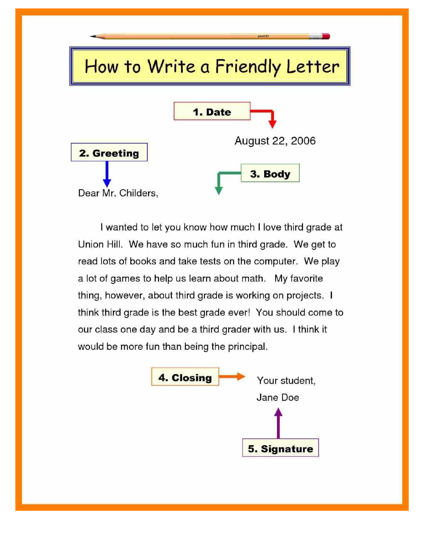

I wanted to let you know how much I love third grade at Union Hill. We have so much fun in third grade. We get to read lots of books and take tests on the computer. We play a lot of games to help us learn about math. My favorite thing, however, about third grade is working on projects. I think third grade is the best grade ever! You should come to our class one day and be a third grader with us. I think it would be more fun than being the principal.

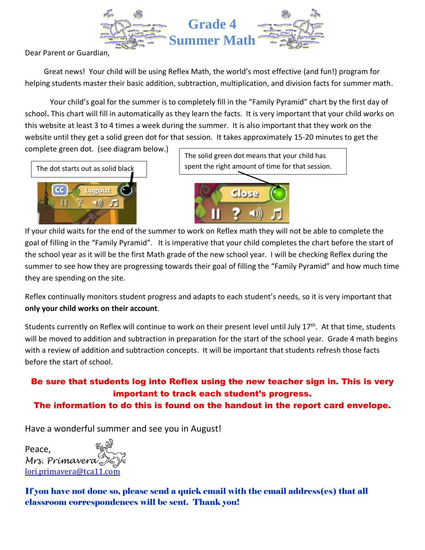

Dear Parent or Guardian,

 Great news! Your child will be using Reflex Math, the world's most effective (and fun!) program for helping students master their basic addition, subtraction, multiplication, and division facts for summer math.

Your child's goal for the summer is to completely fill in the "Family Pyramid" chart by the first day of school**.** This chart will fill in automatically as they learn the facts. It is very important that your child works on this website at least 3 to 4 times a week during the summer. It is also important that they work on the website until they get a solid green dot for that session. It takes approximately 15-20 minutes to get the

complete green dot. (see diagram below.)



The solid green dot means that your child has spent the right amount of time for that session.



If your child waits for the end of the summer to work on Reflex math they will not be able to complete the goal of filling in the "Family Pyramid". It is imperative that your child completes the chart before the start of the school year as it will be the first Math grade of the new school year. I will be checking Reflex during the summer to see how they are progressing towards their goal of filling the "Family Pyramid" and how much time they are spending on the site.

Reflex continually monitors student progress and adapts to each student's needs, so it is very important that **only your child works on their account**.

Students currently on Reflex will continue to work on their present level until July 17<sup>th</sup>. At that time, students will be moved to addition and subtraction in preparation for the start of the school year. Grade 4 math begins with a review of addition and subtraction concepts. It will be important that students refresh those facts before the start of school.

## Be sure that students log into Reflex using the new teacher sign in. This is very important to track each student's progress.

## The information to do this is found on the handout in the report card envelope.

Have a wonderful summer and see you in August!

Peace, *Mrs. Primavera* [lori.primavera@tca11.com](mailto:lori.primavera@tca11.com)

If you have not done so, please send a quick email with the email address(es) that all classroom correspondences will be sent. Thank you!